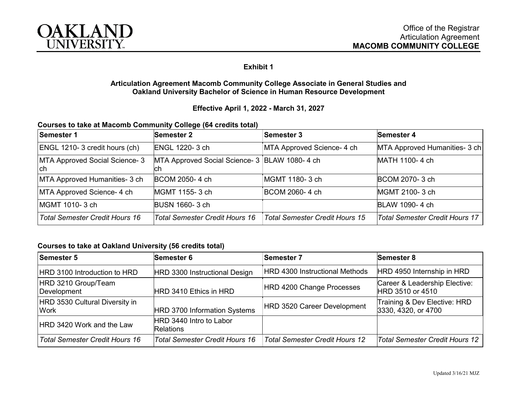

## **Exhibit 1**

### **Articulation Agreement Macomb Community College Associate in General Studies and Oakland University Bachelor of Science in Human Resource Development**

### **Effective April 1, 2022 - March 31, 2027**

| Courses to take at Macomb Community College (64 credits total) |  |
|----------------------------------------------------------------|--|
|----------------------------------------------------------------|--|

| Semester 1                            | <b>Semester 2</b>                                   | <b>Semester 3</b>                     | <b>Semester 4</b>              |
|---------------------------------------|-----------------------------------------------------|---------------------------------------|--------------------------------|
| ENGL 1210-3 credit hours (ch)         | <b>ENGL 1220-3 ch</b>                               | MTA Approved Science- 4 ch            | MTA Approved Humanities- 3 ch  |
| MTA Approved Social Science- 3<br>Ich | MTA Approved Social Science- 3 BLAW 1080-4 ch<br>ch |                                       | MATH 1100-4 ch                 |
| MTA Approved Humanities- 3 ch         | BCOM 2050-4 ch                                      | MGMT 1180-3 ch                        | <b>BCOM 2070-3 ch</b>          |
| MTA Approved Science- 4 ch            | MGMT 1155-3 ch                                      | BCOM 2060-4 ch                        | MGMT 2100-3 ch                 |
| MGMT 1010- 3 ch                       | <b>BUSN 1660-3 ch</b>                               |                                       | <b>BLAW 1090-4 ch</b>          |
| <b>Total Semester Credit Hours 16</b> | Total Semester Credit Hours 16                      | <b>Total Semester Credit Hours 15</b> | Total Semester Credit Hours 17 |

#### **Courses to take at Oakland University (56 credits total)**

| <b>Semester 5</b>                             | <b>Semester 6</b>                           | <b>Semester 7</b>                     | <b>Semester 8</b>                                   |
|-----------------------------------------------|---------------------------------------------|---------------------------------------|-----------------------------------------------------|
| HRD 3100 Introduction to HRD                  | HRD 3300 Instructional Design               | HRD 4300 Instructional Methods        | HRD 4950 Internship in HRD                          |
| HRD 3210 Group/Team<br>Development            | HRD 3410 Ethics in HRD                      | HRD 4200 Change Processes             | Career & Leadership Elective:<br>HRD 3510 or 4510   |
| HRD 3530 Cultural Diversity in<br><b>Work</b> | HRD 3700 Information Systems                | HRD 3520 Career Development           | Training & Dev Elective: HRD<br>3330, 4320, or 4700 |
| HRD 3420 Work and the Law                     | HRD 3440 Intro to Labor<br><b>Relations</b> |                                       |                                                     |
| <b>Total Semester Credit Hours 16</b>         | Total Semester Credit Hours 16              | <b>Total Semester Credit Hours 12</b> | Total Semester Credit Hours 12                      |